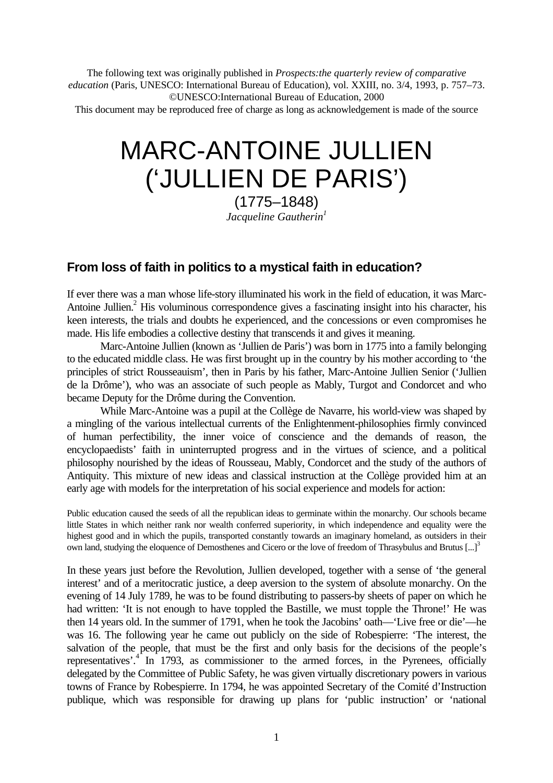The following text was originally published in *Prospects:the quarterly review of comparative education* (Paris, UNESCO: International Bureau of Education), vol. XXIII, no. 3/4, 1993, p. 757–73. ©UNESCO:International Bureau of Education, 2000

This document may be reproduced free of charge as long as acknowledgement is made of the source

# MARC-ANTOINE JULLIEN ('JULLIEN DE PARIS')

(1775–1848) *Jacqueline Gautherin<sup>1</sup>*

## **From loss of faith in politics to a mystical faith in education?**

If ever there was a man whose life-story illuminated his work in the field of education, it was Marc-Antoine Jullien.<sup>2</sup> His voluminous correspondence gives a fascinating insight into his character, his keen interests, the trials and doubts he experienced, and the concessions or even compromises he made. His life embodies a collective destiny that transcends it and gives it meaning.

Marc-Antoine Jullien (known as 'Jullien de Paris') was born in 1775 into a family belonging to the educated middle class. He was first brought up in the country by his mother according to 'the principles of strict Rousseauism', then in Paris by his father, Marc-Antoine Jullien Senior ('Jullien de la Drôme'), who was an associate of such people as Mably, Turgot and Condorcet and who became Deputy for the Drôme during the Convention.

While Marc-Antoine was a pupil at the Collège de Navarre, his world-view was shaped by a mingling of the various intellectual currents of the Enlightenment-philosophies firmly convinced of human perfectibility, the inner voice of conscience and the demands of reason, the encyclopaedists' faith in uninterrupted progress and in the virtues of science, and a political philosophy nourished by the ideas of Rousseau, Mably, Condorcet and the study of the authors of Antiquity. This mixture of new ideas and classical instruction at the Collège provided him at an early age with models for the interpretation of his social experience and models for action:

Public education caused the seeds of all the republican ideas to germinate within the monarchy. Our schools became little States in which neither rank nor wealth conferred superiority, in which independence and equality were the highest good and in which the pupils, transported constantly towards an imaginary homeland, as outsiders in their own land, studying the eloquence of Demosthenes and Cicero or the love of freedom of Thrasybulus and Brutus [...]<sup>3</sup>

In these years just before the Revolution, Jullien developed, together with a sense of 'the general interest' and of a meritocratic justice, a deep aversion to the system of absolute monarchy. On the evening of 14 July 1789, he was to be found distributing to passers-by sheets of paper on which he had written: 'It is not enough to have toppled the Bastille, we must topple the Throne!' He was then 14 years old. In the summer of 1791, when he took the Jacobins' oath—'Live free or die'—he was 16. The following year he came out publicly on the side of Robespierre: 'The interest, the salvation of the people, that must be the first and only basis for the decisions of the people's representatives'.<sup>4</sup> In 1793, as commissioner to the armed forces, in the Pyrenees, officially delegated by the Committee of Public Safety, he was given virtually discretionary powers in various towns of France by Robespierre. In 1794, he was appointed Secretary of the Comité d'Instruction publique, which was responsible for drawing up plans for 'public instruction' or 'national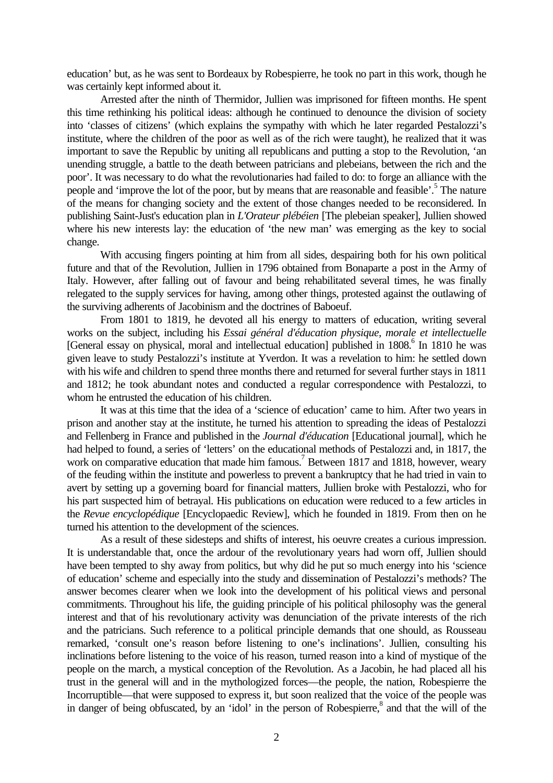education' but, as he was sent to Bordeaux by Robespierre, he took no part in this work, though he was certainly kept informed about it.

Arrested after the ninth of Thermidor, Jullien was imprisoned for fifteen months. He spent this time rethinking his political ideas: although he continued to denounce the division of society into 'classes of citizens' (which explains the sympathy with which he later regarded Pestalozzi's institute, where the children of the poor as well as of the rich were taught), he realized that it was important to save the Republic by uniting all republicans and putting a stop to the Revolution, 'an unending struggle, a battle to the death between patricians and plebeians, between the rich and the poor'. It was necessary to do what the revolutionaries had failed to do: to forge an alliance with the people and 'improve the lot of the poor, but by means that are reasonable and feasible'.<sup>5</sup> The nature of the means for changing society and the extent of those changes needed to be reconsidered. In publishing Saint-Just's education plan in *L'Orateur plébéien* [The plebeian speaker], Jullien showed where his new interests lay: the education of 'the new man' was emerging as the key to social change.

With accusing fingers pointing at him from all sides, despairing both for his own political future and that of the Revolution, Jullien in 1796 obtained from Bonaparte a post in the Army of Italy. However, after falling out of favour and being rehabilitated several times, he was finally relegated to the supply services for having, among other things, protested against the outlawing of the surviving adherents of Jacobinism and the doctrines of Baboeuf.

From 1801 to 1819, he devoted all his energy to matters of education, writing several works on the subject, including his *Essai général d'éducation physique, morale et intellectuelle* [General essay on physical, moral and intellectual education] published in 1808.<sup>6</sup> In 1810 he was given leave to study Pestalozzi's institute at Yverdon. It was a revelation to him: he settled down with his wife and children to spend three months there and returned for several further stays in 1811 and 1812; he took abundant notes and conducted a regular correspondence with Pestalozzi, to whom he entrusted the education of his children.

It was at this time that the idea of a 'science of education' came to him. After two years in prison and another stay at the institute, he turned his attention to spreading the ideas of Pestalozzi and Fellenberg in France and published in the *Journal d'éducation* [Educational journal], which he had helped to found, a series of 'letters' on the educational methods of Pestalozzi and, in 1817, the work on comparative education that made him famous.<sup>7</sup> Between 1817 and 1818, however, weary of the feuding within the institute and powerless to prevent a bankruptcy that he had tried in vain to avert by setting up a governing board for financial matters, Jullien broke with Pestalozzi, who for his part suspected him of betrayal. His publications on education were reduced to a few articles in the *Revue encyclopédique* [Encyclopaedic Review], which he founded in 1819. From then on he turned his attention to the development of the sciences.

As a result of these sidesteps and shifts of interest, his oeuvre creates a curious impression. It is understandable that, once the ardour of the revolutionary years had worn off, Jullien should have been tempted to shy away from politics, but why did he put so much energy into his 'science of education' scheme and especially into the study and dissemination of Pestalozzi's methods? The answer becomes clearer when we look into the development of his political views and personal commitments. Throughout his life, the guiding principle of his political philosophy was the general interest and that of his revolutionary activity was denunciation of the private interests of the rich and the patricians. Such reference to a political principle demands that one should, as Rousseau remarked, 'consult one's reason before listening to one's inclinations'. Jullien, consulting his inclinations before listening to the voice of his reason, turned reason into a kind of mystique of the people on the march, a mystical conception of the Revolution. As a Jacobin, he had placed all his trust in the general will and in the mythologized forces—the people, the nation, Robespierre the Incorruptible—that were supposed to express it, but soon realized that the voice of the people was in danger of being obfuscated, by an 'idol' in the person of Robespierre,<sup>8</sup> and that the will of the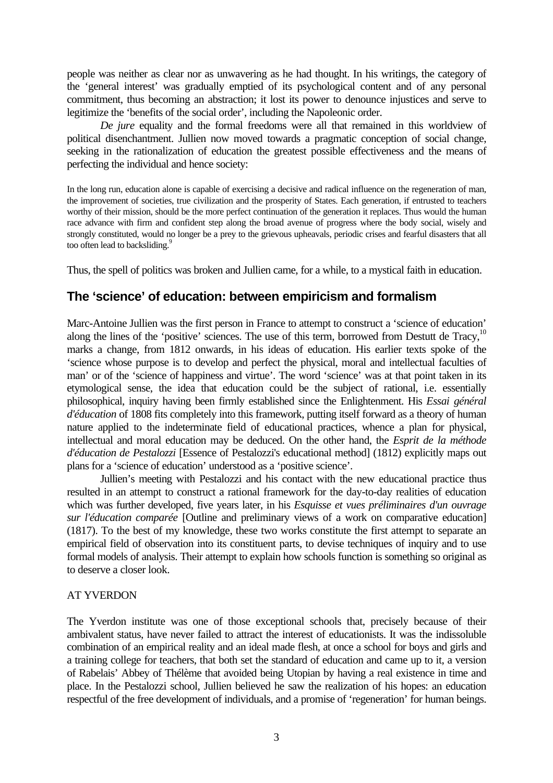people was neither as clear nor as unwavering as he had thought. In his writings, the category of the 'general interest' was gradually emptied of its psychological content and of any personal commitment, thus becoming an abstraction; it lost its power to denounce injustices and serve to legitimize the 'benefits of the social order', including the Napoleonic order.

*De jure* equality and the formal freedoms were all that remained in this worldview of political disenchantment. Jullien now moved towards a pragmatic conception of social change, seeking in the rationalization of education the greatest possible effectiveness and the means of perfecting the individual and hence society:

In the long run, education alone is capable of exercising a decisive and radical influence on the regeneration of man, the improvement of societies, true civilization and the prosperity of States. Each generation, if entrusted to teachers worthy of their mission, should be the more perfect continuation of the generation it replaces. Thus would the human race advance with firm and confident step along the broad avenue of progress where the body social, wisely and strongly constituted, would no longer be a prey to the grievous upheavals, periodic crises and fearful disasters that all too often lead to backsliding.<sup>9</sup>

Thus, the spell of politics was broken and Jullien came, for a while, to a mystical faith in education.

## **The 'science' of education: between empiricism and formalism**

Marc-Antoine Jullien was the first person in France to attempt to construct a 'science of education' along the lines of the 'positive' sciences. The use of this term, borrowed from Destutt de Tracy, $10$ marks a change, from 1812 onwards, in his ideas of education. His earlier texts spoke of the 'science whose purpose is to develop and perfect the physical, moral and intellectual faculties of man' or of the 'science of happiness and virtue'. The word 'science' was at that point taken in its etymological sense, the idea that education could be the subject of rational, i.e. essentially philosophical, inquiry having been firmly established since the Enlightenment. His *Essai général d'éducation* of 1808 fits completely into this framework, putting itself forward as a theory of human nature applied to the indeterminate field of educational practices, whence a plan for physical, intellectual and moral education may be deduced. On the other hand, the *Esprit de la méthode d'éducation de Pestalozzi* [Essence of Pestalozzi's educational method] (1812) explicitly maps out plans for a 'science of education' understood as a 'positive science'.

Jullien's meeting with Pestalozzi and his contact with the new educational practice thus resulted in an attempt to construct a rational framework for the day-to-day realities of education which was further developed, five years later, in his *Esquisse et vues préliminaires d'un ouvrage sur l'éducation comparée* [Outline and preliminary views of a work on comparative education] (1817). To the best of my knowledge, these two works constitute the first attempt to separate an empirical field of observation into its constituent parts, to devise techniques of inquiry and to use formal models of analysis. Their attempt to explain how schools function is something so original as to deserve a closer look.

### AT YVERDON

The Yverdon institute was one of those exceptional schools that, precisely because of their ambivalent status, have never failed to attract the interest of educationists. It was the indissoluble combination of an empirical reality and an ideal made flesh, at once a school for boys and girls and a training college for teachers, that both set the standard of education and came up to it, a version of Rabelais' Abbey of Thélème that avoided being Utopian by having a real existence in time and place. In the Pestalozzi school, Jullien believed he saw the realization of his hopes: an education respectful of the free development of individuals, and a promise of 'regeneration' for human beings.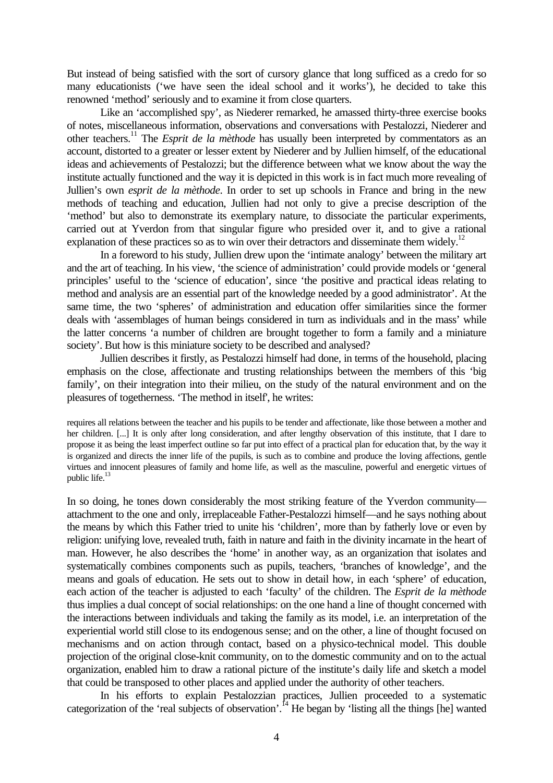But instead of being satisfied with the sort of cursory glance that long sufficed as a credo for so many educationists ('we have seen the ideal school and it works'), he decided to take this renowned 'method' seriously and to examine it from close quarters.

Like an 'accomplished spy', as Niederer remarked, he amassed thirty-three exercise books of notes, miscellaneous information, observations and conversations with Pestalozzi, Niederer and other teachers.<sup>11</sup> The *Esprit de la mèthode* has usually been interpreted by commentators as an account, distorted to a greater or lesser extent by Niederer and by Jullien himself, of the educational ideas and achievements of Pestalozzi; but the difference between what we know about the way the institute actually functioned and the way it is depicted in this work is in fact much more revealing of Jullien's own *esprit de la mèthode*. In order to set up schools in France and bring in the new methods of teaching and education, Jullien had not only to give a precise description of the 'method' but also to demonstrate its exemplary nature, to dissociate the particular experiments, carried out at Yverdon from that singular figure who presided over it, and to give a rational explanation of these practices so as to win over their detractors and disseminate them widely.<sup>12</sup>

In a foreword to his study, Jullien drew upon the 'intimate analogy' between the military art and the art of teaching. In his view, 'the science of administration' could provide models or 'general principles' useful to the 'science of education', since 'the positive and practical ideas relating to method and analysis are an essential part of the knowledge needed by a good administrator'. At the same time, the two 'spheres' of administration and education offer similarities since the former deals with 'assemblages of human beings considered in turn as individuals and in the mass' while the latter concerns 'a number of children are brought together to form a family and a miniature society'. But how is this miniature society to be described and analysed?

Jullien describes it firstly, as Pestalozzi himself had done, in terms of the household, placing emphasis on the close, affectionate and trusting relationships between the members of this 'big family', on their integration into their milieu, on the study of the natural environment and on the pleasures of togetherness. 'The method in itself', he writes:

requires all relations between the teacher and his pupils to be tender and affectionate, like those between a mother and her children. [...] It is only after long consideration, and after lengthy observation of this institute, that I dare to propose it as being the least imperfect outline so far put into effect of a practical plan for education that, by the way it is organized and directs the inner life of the pupils, is such as to combine and produce the loving affections, gentle virtues and innocent pleasures of family and home life, as well as the masculine, powerful and energetic virtues of public life.<sup>13</sup>

In so doing, he tones down considerably the most striking feature of the Yverdon community attachment to the one and only, irreplaceable Father-Pestalozzi himself—and he says nothing about the means by which this Father tried to unite his 'children', more than by fatherly love or even by religion: unifying love, revealed truth, faith in nature and faith in the divinity incarnate in the heart of man. However, he also describes the 'home' in another way, as an organization that isolates and systematically combines components such as pupils, teachers, 'branches of knowledge', and the means and goals of education. He sets out to show in detail how, in each 'sphere' of education, each action of the teacher is adjusted to each 'faculty' of the children. The *Esprit de la mèthode* thus implies a dual concept of social relationships: on the one hand a line of thought concerned with the interactions between individuals and taking the family as its model, i.e. an interpretation of the experiential world still close to its endogenous sense; and on the other, a line of thought focused on mechanisms and on action through contact, based on a physico-technical model. This double projection of the original close-knit community, on to the domestic community and on to the actual organization, enabled him to draw a rational picture of the institute's daily life and sketch a model that could be transposed to other places and applied under the authority of other teachers.

In his efforts to explain Pestalozzian practices, Jullien proceeded to a systematic categorization of the 'real subjects of observation'.<sup>14</sup> He began by 'listing all the things [he] wanted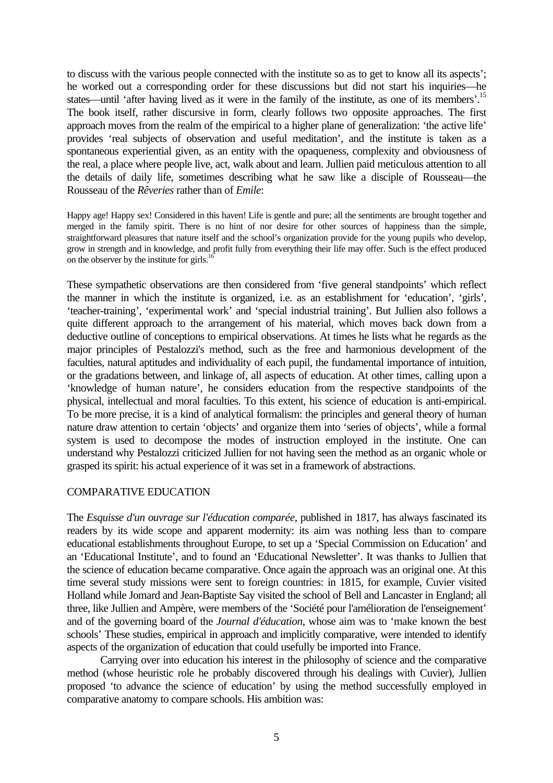to discuss with the various people connected with the institute so as to get to know all its aspects'; he worked out a corresponding order for these discussions but did not start his inquiries—he states—until 'after having lived as it were in the family of the institute, as one of its members'.<sup>15</sup> The book itself, rather discursive in form, clearly follows two opposite approaches. The first approach moves from the realm of the empirical to a higher plane of generalization: 'the active life' provides 'real subjects of observation and useful meditation', and the institute is taken as a spontaneous experiential given, as an entity with the opaqueness, complexity and obviousness of the real, a place where people live, act, walk about and learn. Jullien paid meticulous attention to all the details of daily life, sometimes describing what he saw like a disciple of Rousseau—the Rousseau of the *Rêveries* rather than of *Emile*:

Happy age! Happy sex! Considered in this haven! Life is gentle and pure; all the sentiments are brought together and merged in the family spirit. There is no hint of nor desire for other sources of happiness than the simple, straightforward pleasures that nature itself and the school's organization provide for the young pupils who develop, grow in strength and in knowledge, and profit fully from everything their life may offer. Such is the effect produced on the observer by the institute for girls. $<sup>1</sup>$ </sup>

These sympathetic observations are then considered from 'five general standpoints' which reflect the manner in which the institute is organized, i.e. as an establishment for 'education', 'girls', 'teacher-training', 'experimental work' and 'special industrial training'. But Jullien also follows a quite different approach to the arrangement of his material, which moves back down from a deductive outline of conceptions to empirical observations. At times he lists what he regards as the major principles of Pestalozzi's method, such as the free and harmonious development of the faculties, natural aptitudes and individuality of each pupil, the fundamental importance of intuition, or the gradations between, and linkage of, all aspects of education. At other times, calling upon a 'knowledge of human nature', he considers education from the respective standpoints of the physical, intellectual and moral faculties. To this extent, his science of education is anti-empirical. To be more precise, it is a kind of analytical formalism: the principles and general theory of human nature draw attention to certain 'objects' and organize them into 'series of objects', while a formal system is used to decompose the modes of instruction employed in the institute. One can understand why Pestalozzi criticized Jullien for not having seen the method as an organic whole or grasped its spirit: his actual experience of it was set in a framework of abstractions.

#### COMPARATIVE EDUCATION

The *Esquisse d'un ouvrage sur l'éducation comparée*, published in 1817, has always fascinated its readers by its wide scope and apparent modernity: its aim was nothing less than to compare educational establishments throughout Europe, to set up a 'Special Commission on Education' and an 'Educational Institute', and to found an 'Educational Newsletter'. It was thanks to Jullien that the science of education became comparative. Once again the approach was an original one. At this time several study missions were sent to foreign countries: in 1815, for example, Cuvier visited Holland while Jomard and Jean-Baptiste Say visited the school of Bell and Lancaster in England; all three, like Jullien and Ampère, were members of the 'Société pour l'amélioration de l'enseignement' and of the governing board of the *Journal d'éducation*, whose aim was to 'make known the best schools' These studies, empirical in approach and implicitly comparative, were intended to identify aspects of the organization of education that could usefully be imported into France.

Carrying over into education his interest in the philosophy of science and the comparative method (whose heuristic role he probably discovered through his dealings with Cuvier), Jullien proposed 'to advance the science of education' by using the method successfully employed in comparative anatomy to compare schools. His ambition was: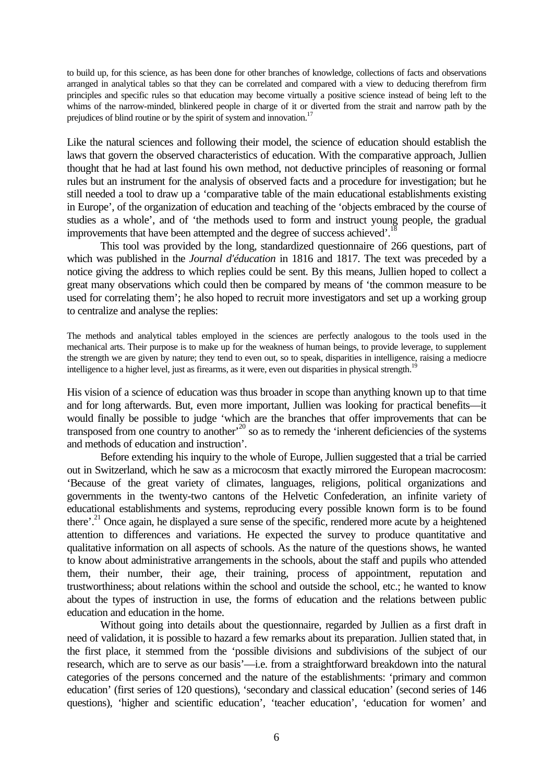to build up, for this science, as has been done for other branches of knowledge, collections of facts and observations arranged in analytical tables so that they can be correlated and compared with a view to deducing therefrom firm principles and specific rules so that education may become virtually a positive science instead of being left to the whims of the narrow-minded, blinkered people in charge of it or diverted from the strait and narrow path by the prejudices of blind routine or by the spirit of system and innovation.<sup>17</sup>

Like the natural sciences and following their model, the science of education should establish the laws that govern the observed characteristics of education. With the comparative approach, Jullien thought that he had at last found his own method, not deductive principles of reasoning or formal rules but an instrument for the analysis of observed facts and a procedure for investigation; but he still needed a tool to draw up a 'comparative table of the main educational establishments existing in Europe', of the organization of education and teaching of the 'objects embraced by the course of studies as a whole', and of 'the methods used to form and instruct young people, the gradual improvements that have been attempted and the degree of success achieved'.<sup>18</sup>

This tool was provided by the long, standardized questionnaire of 266 questions, part of which was published in the *Journal d'éducation* in 1816 and 1817. The text was preceded by a notice giving the address to which replies could be sent. By this means, Jullien hoped to collect a great many observations which could then be compared by means of 'the common measure to be used for correlating them'; he also hoped to recruit more investigators and set up a working group to centralize and analyse the replies:

The methods and analytical tables employed in the sciences are perfectly analogous to the tools used in the mechanical arts. Their purpose is to make up for the weakness of human beings, to provide leverage, to supplement the strength we are given by nature; they tend to even out, so to speak, disparities in intelligence, raising a mediocre intelligence to a higher level, just as firearms, as it were, even out disparities in physical strength.<sup>11</sup>

His vision of a science of education was thus broader in scope than anything known up to that time and for long afterwards. But, even more important, Jullien was looking for practical benefits—it would finally be possible to judge 'which are the branches that offer improvements that can be transposed from one country to another<sup>,20</sup> so as to remedy the 'inherent deficiencies of the systems and methods of education and instruction'.

Before extending his inquiry to the whole of Europe, Jullien suggested that a trial be carried out in Switzerland, which he saw as a microcosm that exactly mirrored the European macrocosm: 'Because of the great variety of climates, languages, religions, political organizations and governments in the twenty-two cantons of the Helvetic Confederation, an infinite variety of educational establishments and systems, reproducing every possible known form is to be found there'.<sup>21</sup> Once again, he displayed a sure sense of the specific, rendered more acute by a heightened attention to differences and variations. He expected the survey to produce quantitative and qualitative information on all aspects of schools. As the nature of the questions shows, he wanted to know about administrative arrangements in the schools, about the staff and pupils who attended them, their number, their age, their training, process of appointment, reputation and trustworthiness; about relations within the school and outside the school, etc.; he wanted to know about the types of instruction in use, the forms of education and the relations between public education and education in the home.

Without going into details about the questionnaire, regarded by Jullien as a first draft in need of validation, it is possible to hazard a few remarks about its preparation. Jullien stated that, in the first place, it stemmed from the 'possible divisions and subdivisions of the subject of our research, which are to serve as our basis'—i.e. from a straightforward breakdown into the natural categories of the persons concerned and the nature of the establishments: 'primary and common education' (first series of 120 questions), 'secondary and classical education' (second series of 146 questions), 'higher and scientific education', 'teacher education', 'education for women' and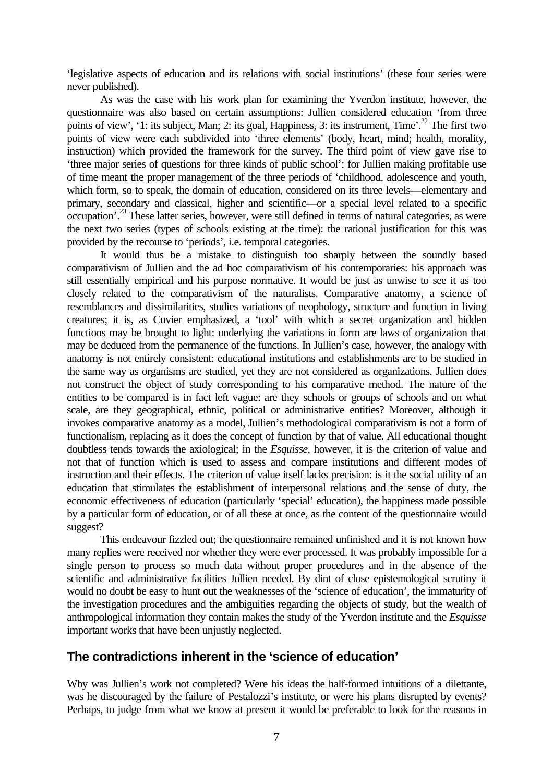'legislative aspects of education and its relations with social institutions' (these four series were never published).

As was the case with his work plan for examining the Yverdon institute, however, the questionnaire was also based on certain assumptions: Jullien considered education 'from three points of view', '1: its subject, Man; 2: its goal, Happiness, 3: its instrument, Time'.<sup>22</sup> The first two points of view were each subdivided into 'three elements' (body, heart, mind; health, morality, instruction) which provided the framework for the survey. The third point of view gave rise to 'three major series of questions for three kinds of public school': for Jullien making profitable use of time meant the proper management of the three periods of 'childhood, adolescence and youth, which form, so to speak, the domain of education, considered on its three levels—elementary and primary, secondary and classical, higher and scientific—or a special level related to a specific occupation'.<sup>23</sup> These latter series, however, were still defined in terms of natural categories, as were the next two series (types of schools existing at the time): the rational justification for this was provided by the recourse to 'periods', i.e. temporal categories.

It would thus be a mistake to distinguish too sharply between the soundly based comparativism of Jullien and the ad hoc comparativism of his contemporaries: his approach was still essentially empirical and his purpose normative. It would be just as unwise to see it as too closely related to the comparativism of the naturalists. Comparative anatomy, a science of resemblances and dissimilarities, studies variations of neophology, structure and function in living creatures; it is, as Cuvier emphasized, a 'tool' with which a secret organization and hidden functions may be brought to light: underlying the variations in form are laws of organization that may be deduced from the permanence of the functions. In Jullien's case, however, the analogy with anatomy is not entirely consistent: educational institutions and establishments are to be studied in the same way as organisms are studied, yet they are not considered as organizations. Jullien does not construct the object of study corresponding to his comparative method. The nature of the entities to be compared is in fact left vague: are they schools or groups of schools and on what scale, are they geographical, ethnic, political or administrative entities? Moreover, although it invokes comparative anatomy as a model, Jullien's methodological comparativism is not a form of functionalism, replacing as it does the concept of function by that of value. All educational thought doubtless tends towards the axiological; in the *Esquisse*, however, it is the criterion of value and not that of function which is used to assess and compare institutions and different modes of instruction and their effects. The criterion of value itself lacks precision: is it the social utility of an education that stimulates the establishment of interpersonal relations and the sense of duty, the economic effectiveness of education (particularly 'special' education), the happiness made possible by a particular form of education, or of all these at once, as the content of the questionnaire would suggest?

This endeavour fizzled out; the questionnaire remained unfinished and it is not known how many replies were received nor whether they were ever processed. It was probably impossible for a single person to process so much data without proper procedures and in the absence of the scientific and administrative facilities Jullien needed. By dint of close epistemological scrutiny it would no doubt be easy to hunt out the weaknesses of the 'science of education', the immaturity of the investigation procedures and the ambiguities regarding the objects of study, but the wealth of anthropological information they contain makes the study of the Yverdon institute and the *Esquisse* important works that have been unjustly neglected.

## **The contradictions inherent in the 'science of education'**

Why was Jullien's work not completed? Were his ideas the half-formed intuitions of a dilettante, was he discouraged by the failure of Pestalozzi's institute, or were his plans disrupted by events? Perhaps, to judge from what we know at present it would be preferable to look for the reasons in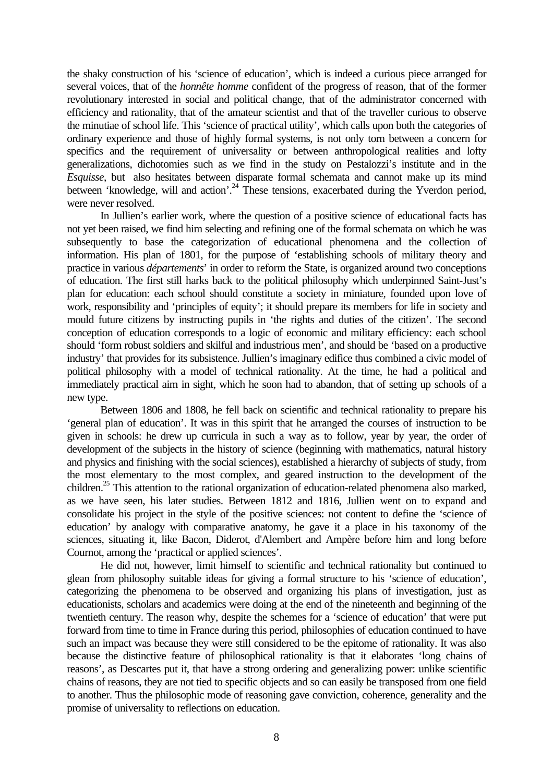the shaky construction of his 'science of education', which is indeed a curious piece arranged for several voices, that of the *honnête homme* confident of the progress of reason, that of the former revolutionary interested in social and political change, that of the administrator concerned with efficiency and rationality, that of the amateur scientist and that of the traveller curious to observe the minutiae of school life. This 'science of practical utility', which calls upon both the categories of ordinary experience and those of highly formal systems, is not only torn between a concern for specifics and the requirement of universality or between anthropological realities and lofty generalizations, dichotomies such as we find in the study on Pestalozzi's institute and in the *Esquisse*, but also hesitates between disparate formal schemata and cannot make up its mind between 'knowledge, will and action'.<sup>24</sup> These tensions, exacerbated during the Yverdon period, were never resolved.

In Jullien's earlier work, where the question of a positive science of educational facts has not yet been raised, we find him selecting and refining one of the formal schemata on which he was subsequently to base the categorization of educational phenomena and the collection of information. His plan of 1801, for the purpose of 'establishing schools of military theory and practice in various *départements*' in order to reform the State, is organized around two conceptions of education. The first still harks back to the political philosophy which underpinned Saint-Just's plan for education: each school should constitute a society in miniature, founded upon love of work, responsibility and 'principles of equity'; it should prepare its members for life in society and mould future citizens by instructing pupils in 'the rights and duties of the citizen'. The second conception of education corresponds to a logic of economic and military efficiency: each school should 'form robust soldiers and skilful and industrious men', and should be 'based on a productive industry' that provides for its subsistence. Jullien's imaginary edifice thus combined a civic model of political philosophy with a model of technical rationality. At the time, he had a political and immediately practical aim in sight, which he soon had to abandon, that of setting up schools of a new type.

Between 1806 and 1808, he fell back on scientific and technical rationality to prepare his 'general plan of education'. It was in this spirit that he arranged the courses of instruction to be given in schools: he drew up curricula in such a way as to follow, year by year, the order of development of the subjects in the history of science (beginning with mathematics, natural history and physics and finishing with the social sciences), established a hierarchy of subjects of study, from the most elementary to the most complex, and geared instruction to the development of the children.<sup>25</sup> This attention to the rational organization of education-related phenomena also marked, as we have seen, his later studies. Between 1812 and 1816, Jullien went on to expand and consolidate his project in the style of the positive sciences: not content to define the 'science of education' by analogy with comparative anatomy, he gave it a place in his taxonomy of the sciences, situating it, like Bacon, Diderot, d'Alembert and Ampère before him and long before Cournot, among the 'practical or applied sciences'.

He did not, however, limit himself to scientific and technical rationality but continued to glean from philosophy suitable ideas for giving a formal structure to his 'science of education', categorizing the phenomena to be observed and organizing his plans of investigation, just as educationists, scholars and academics were doing at the end of the nineteenth and beginning of the twentieth century. The reason why, despite the schemes for a 'science of education' that were put forward from time to time in France during this period, philosophies of education continued to have such an impact was because they were still considered to be the epitome of rationality. It was also because the distinctive feature of philosophical rationality is that it elaborates 'long chains of reasons', as Descartes put it, that have a strong ordering and generalizing power: unlike scientific chains of reasons, they are not tied to specific objects and so can easily be transposed from one field to another. Thus the philosophic mode of reasoning gave conviction, coherence, generality and the promise of universality to reflections on education.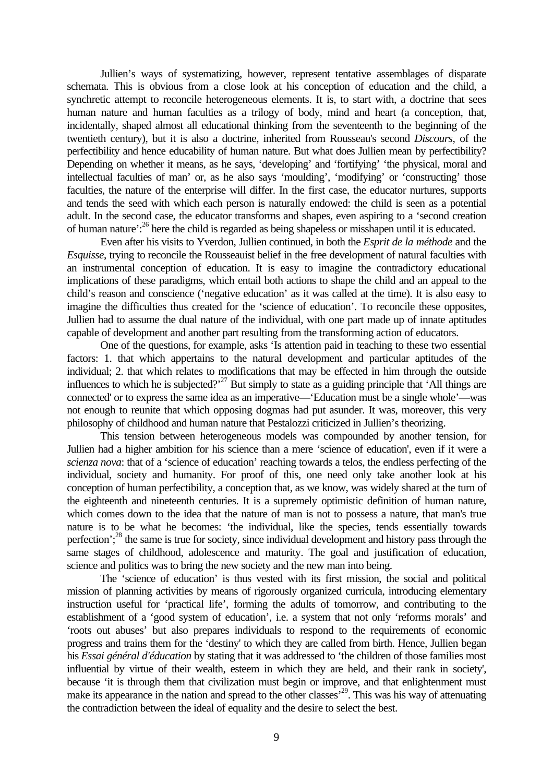Jullien's ways of systematizing, however, represent tentative assemblages of disparate schemata. This is obvious from a close look at his conception of education and the child, a synchretic attempt to reconcile heterogeneous elements. It is, to start with, a doctrine that sees human nature and human faculties as a trilogy of body, mind and heart (a conception, that, incidentally, shaped almost all educational thinking from the seventeenth to the beginning of the twentieth century), but it is also a doctrine, inherited from Rousseau's second *Discours*, of the perfectibility and hence educability of human nature. But what does Jullien mean by perfectibility? Depending on whether it means, as he says, 'developing' and 'fortifying' 'the physical, moral and intellectual faculties of man' or, as he also says 'moulding', 'modifying' or 'constructing' those faculties, the nature of the enterprise will differ. In the first case, the educator nurtures, supports and tends the seed with which each person is naturally endowed: the child is seen as a potential adult. In the second case, the educator transforms and shapes, even aspiring to a 'second creation of human nature':<sup>26</sup> here the child is regarded as being shapeless or misshapen until it is educated.

Even after his visits to Yverdon, Jullien continued, in both the *Esprit de la méthode* and the *Esquisse*, trying to reconcile the Rousseauist belief in the free development of natural faculties with an instrumental conception of education. It is easy to imagine the contradictory educational implications of these paradigms, which entail both actions to shape the child and an appeal to the child's reason and conscience ('negative education' as it was called at the time). It is also easy to imagine the difficulties thus created for the 'science of education'. To reconcile these opposites, Jullien had to assume the dual nature of the individual, with one part made up of innate aptitudes capable of development and another part resulting from the transforming action of educators.

One of the questions, for example, asks 'Is attention paid in teaching to these two essential factors: 1. that which appertains to the natural development and particular aptitudes of the individual; 2. that which relates to modifications that may be effected in him through the outside influences to which he is subjected?<sup>27</sup> But simply to state as a guiding principle that 'All things are connected' or to express the same idea as an imperative—'Education must be a single whole'—was not enough to reunite that which opposing dogmas had put asunder. It was, moreover, this very philosophy of childhood and human nature that Pestalozzi criticized in Jullien's theorizing.

This tension between heterogeneous models was compounded by another tension, for Jullien had a higher ambition for his science than a mere 'science of education', even if it were a *scienza nova*: that of a 'science of education' reaching towards a telos, the endless perfecting of the individual, society and humanity. For proof of this, one need only take another look at his conception of human perfectibility, a conception that, as we know, was widely shared at the turn of the eighteenth and nineteenth centuries. It is a supremely optimistic definition of human nature, which comes down to the idea that the nature of man is not to possess a nature, that man's true nature is to be what he becomes: 'the individual, like the species, tends essentially towards perfection';<sup>28</sup> the same is true for society, since individual development and history pass through the same stages of childhood, adolescence and maturity. The goal and justification of education, science and politics was to bring the new society and the new man into being.

The 'science of education' is thus vested with its first mission, the social and political mission of planning activities by means of rigorously organized curricula, introducing elementary instruction useful for 'practical life', forming the adults of tomorrow, and contributing to the establishment of a 'good system of education', i.e. a system that not only 'reforms morals' and 'roots out abuses' but also prepares individuals to respond to the requirements of economic progress and trains them for the 'destiny' to which they are called from birth. Hence, Jullien began his *Essai général d'éducation* by stating that it was addressed to 'the children of those families most influential by virtue of their wealth, esteem in which they are held, and their rank in society', because 'it is through them that civilization must begin or improve, and that enlightenment must make its appearance in the nation and spread to the other classes<sup>, 29</sup>. This was his way of attenuating the contradiction between the ideal of equality and the desire to select the best.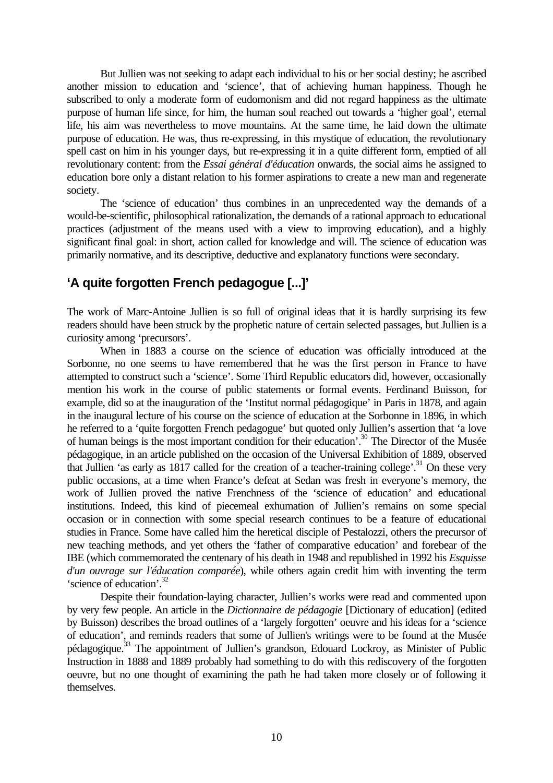But Jullien was not seeking to adapt each individual to his or her social destiny; he ascribed another mission to education and 'science', that of achieving human happiness. Though he subscribed to only a moderate form of eudomonism and did not regard happiness as the ultimate purpose of human life since, for him, the human soul reached out towards a 'higher goal', eternal life, his aim was nevertheless to move mountains. At the same time, he laid down the ultimate purpose of education. He was, thus re-expressing, in this mystique of education, the revolutionary spell cast on him in his younger days, but re-expressing it in a quite different form, emptied of all revolutionary content: from the *Essai général d'éducation* onwards, the social aims he assigned to education bore only a distant relation to his former aspirations to create a new man and regenerate society.

The 'science of education' thus combines in an unprecedented way the demands of a would-be-scientific, philosophical rationalization, the demands of a rational approach to educational practices (adjustment of the means used with a view to improving education), and a highly significant final goal: in short, action called for knowledge and will. The science of education was primarily normative, and its descriptive, deductive and explanatory functions were secondary.

## **'A quite forgotten French pedagogue [...]'**

The work of Marc-Antoine Jullien is so full of original ideas that it is hardly surprising its few readers should have been struck by the prophetic nature of certain selected passages, but Jullien is a curiosity among 'precursors'.

When in 1883 a course on the science of education was officially introduced at the Sorbonne, no one seems to have remembered that he was the first person in France to have attempted to construct such a 'science'. Some Third Republic educators did, however, occasionally mention his work in the course of public statements or formal events. Ferdinand Buisson, for example, did so at the inauguration of the 'Institut normal pédagogique' in Paris in 1878, and again in the inaugural lecture of his course on the science of education at the Sorbonne in 1896, in which he referred to a 'quite forgotten French pedagogue' but quoted only Jullien's assertion that 'a love of human beings is the most important condition for their education'.<sup>30</sup> The Director of the Musée pédagogique, in an article published on the occasion of the Universal Exhibition of 1889, observed that Jullien 'as early as 1817 called for the creation of a teacher-training college'.<sup>31</sup> On these very public occasions, at a time when France's defeat at Sedan was fresh in everyone's memory, the work of Jullien proved the native Frenchness of the 'science of education' and educational institutions. Indeed, this kind of piecemeal exhumation of Jullien's remains on some special occasion or in connection with some special research continues to be a feature of educational studies in France. Some have called him the heretical disciple of Pestalozzi, others the precursor of new teaching methods, and yet others the 'father of comparative education' and forebear of the IBE (which commemorated the centenary of his death in 1948 and republished in 1992 his *Esquisse d'un ouvrage sur l'éducation comparée*), while others again credit him with inventing the term 'science of education'.<sup>32</sup>

Despite their foundation-laying character, Jullien's works were read and commented upon by very few people. An article in the *Dictionnaire de pédagogie* [Dictionary of education] (edited by Buisson) describes the broad outlines of a 'largely forgotten' oeuvre and his ideas for a 'science of education', and reminds readers that some of Jullien's writings were to be found at the Musée pédagogique.<sup>33</sup> The appointment of Jullien's grandson, Edouard Lockroy, as Minister of Public Instruction in 1888 and 1889 probably had something to do with this rediscovery of the forgotten oeuvre, but no one thought of examining the path he had taken more closely or of following it themselves.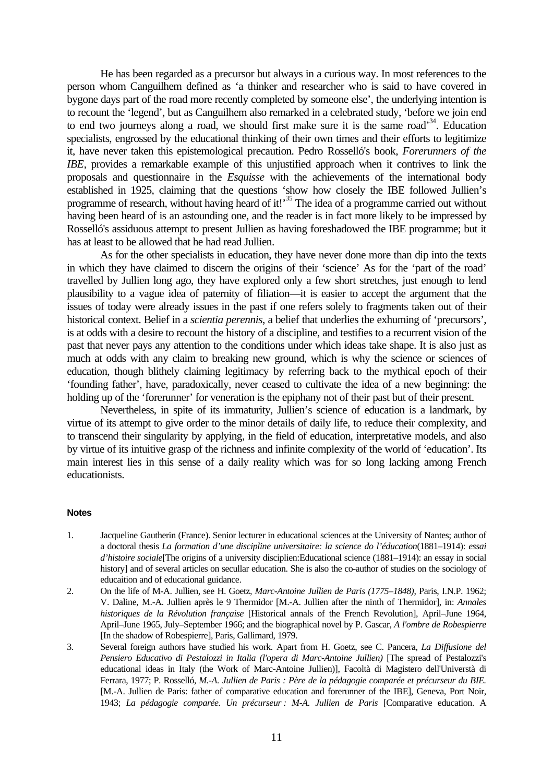He has been regarded as a precursor but always in a curious way. In most references to the person whom Canguilhem defined as 'a thinker and researcher who is said to have covered in bygone days part of the road more recently completed by someone else', the underlying intention is to recount the 'legend', but as Canguilhem also remarked in a celebrated study, 'before we join end to end two journeys along a road, we should first make sure it is the same road<sup>34</sup>. Education specialists, engrossed by the educational thinking of their own times and their efforts to legitimize it, have never taken this epistemological precaution. Pedro Rosselló's book, *Forerunners of the IBE*, provides a remarkable example of this unjustified approach when it contrives to link the proposals and questionnaire in the *Esquisse* with the achievements of the international body established in 1925, claiming that the questions 'show how closely the IBE followed Jullien's programme of research, without having heard of it!<sup>35</sup> The idea of a programme carried out without having been heard of is an astounding one, and the reader is in fact more likely to be impressed by Rosselló's assiduous attempt to present Jullien as having foreshadowed the IBE programme; but it has at least to be allowed that he had read Jullien.

As for the other specialists in education, they have never done more than dip into the texts in which they have claimed to discern the origins of their 'science' As for the 'part of the road' travelled by Jullien long ago, they have explored only a few short stretches, just enough to lend plausibility to a vague idea of paternity of filiation—it is easier to accept the argument that the issues of today were already issues in the past if one refers solely to fragments taken out of their historical context. Belief in a *scientia perennis*, a belief that underlies the exhuming of 'precursors', is at odds with a desire to recount the history of a discipline, and testifies to a recurrent vision of the past that never pays any attention to the conditions under which ideas take shape. It is also just as much at odds with any claim to breaking new ground, which is why the science or sciences of education, though blithely claiming legitimacy by referring back to the mythical epoch of their 'founding father', have, paradoxically, never ceased to cultivate the idea of a new beginning: the holding up of the 'forerunner' for veneration is the epiphany not of their past but of their present.

Nevertheless, in spite of its immaturity, Jullien's science of education is a landmark, by virtue of its attempt to give order to the minor details of daily life, to reduce their complexity, and to transcend their singularity by applying, in the field of education, interpretative models, and also by virtue of its intuitive grasp of the richness and infinite complexity of the world of 'education'. Its main interest lies in this sense of a daily reality which was for so long lacking among French educationists.

#### **Notes**

- 1. Jacqueline Gautherin (France). Senior lecturer in educational sciences at the University of Nantes; author of a doctoral thesis *La formation d'une discipline universitaire: la science do l'éducation*(1881–1914): *essai d'histoire sociale*[The origins of a university disciplien:Educational science (1881–1914): an essay in social history] and of several articles on secullar education. She is also the co-author of studies on the sociology of educaition and of educational guidance.
- 2. On the life of M-A. Jullien, see H. Goetz, *Marc-Antoine Jullien de Paris (1775–1848)*, Paris, I.N.P. 1962; V. Daline, M.-A. Jullien après le 9 Thermidor [M.-A. Jullien after the ninth of Thermidor], in: *Annales historiques de la Révolution française* [Historical annals of the French Revolution], April–June 1964, April–June 1965, July–September 1966; and the biographical novel by P. Gascar, *A l'ombre de Robespierre* [In the shadow of Robespierre], Paris, Gallimard, 1979.
- 3. Several foreign authors have studied his work. Apart from H. Goetz, see C. Pancera, *La Diffusione del Pensiero Educativo di Pestalozzi in Italia (l'opera di Marc-Antoine Jullien)* [The spread of Pestalozzi's educational ideas in Italy (the Work of Marc-Antoine Jullien)], Facoltà di Magistero dell'Universtà di Ferrara, 1977; P. Rosselló, *M.-A. Jullien de Paris : Père de la pédagogie comparée et précurseur du BIE.* [M.-A. Jullien de Paris: father of comparative education and forerunner of the IBE], Geneva, Port Noir, 1943; *La pédagogie comparée. Un précurseur : M-A. Jullien de Paris* [Comparative education. A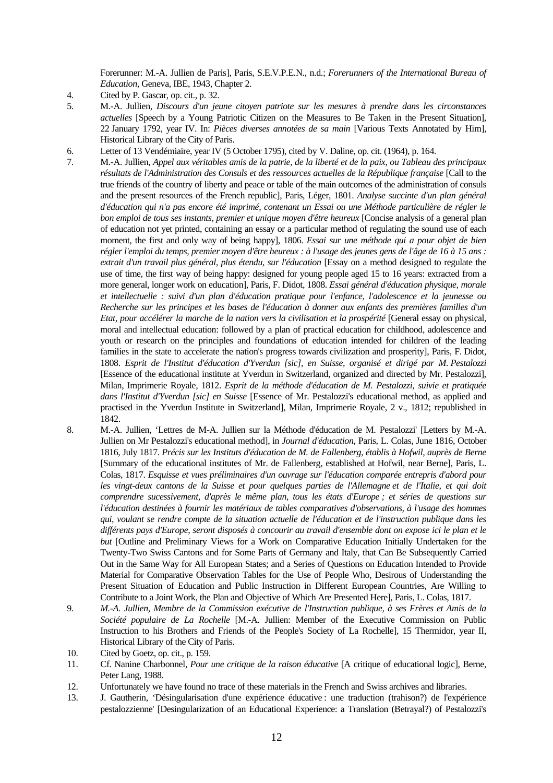Forerunner: M.-A. Jullien de Paris], Paris, S.E.V.P.E.N., n.d.; *Forerunners of the International Bureau of Education*, Geneva, IBE, 1943, Chapter 2.

- 4. Cited by P. Gascar, op. cit., p. 32.
- 5. M.-A. Jullien, *Discours d'un jeune citoyen patriote sur les mesures à prendre dans les circonstances actuelles* [Speech by a Young Patriotic Citizen on the Measures to Be Taken in the Present Situation], 22 January 1792, year IV. In: *Pièces diverses annotées de sa main* [Various Texts Annotated by Him], Historical Library of the City of Paris.
- 6. Letter of 13 Vendémiaire, year IV (5 October 1795), cited by V. Daline, op. cit. (1964), p. 164.
- 7. M.-A. Jullien, *Appel aux véritables amis de la patrie, de la liberté et de la paix, ou Tableau des principaux résultats de l'Administration des Consuls et des ressources actuelles de la République française* [Call to the true friends of the country of liberty and peace or table of the main outcomes of the administration of consuls and the present resources of the French republic], Paris, Léger, 1801. *Analyse succinte d'un plan général d'éducation qui n'a pas encore été imprimé, contenant un Essai ou une Méthode particulière de régler le bon emploi de tous ses instants, premier et unique moyen d'être heureux* [Concise analysis of a general plan of education not yet printed, containing an essay or a particular method of regulating the sound use of each moment, the first and only way of being happy], 1806. *Essai sur une méthode qui a pour objet de bien régler l'emploi du temps, premier moyen d'être heureux : à l'usage des jeunes gens de l'âge de 16 à 15 ans : extrait d'un travail plus général, plus étendu, sur l'éducation* [Essay on a method designed to regulate the use of time, the first way of being happy: designed for young people aged 15 to 16 years: extracted from a more general, longer work on education], Paris, F. Didot, 1808. *Essai général d'éducation physique, morale et intellectuelle : suivi d'un plan d'éducation pratique pour l'enfance, l'adolescence et la jeunesse ou Recherche sur les principes et les bases de l'éducation à donner aux enfants des premières familles d'un Etat, pour accélérer la marche de la nation vers la civilisation et la prospérité* [General essay on physical, moral and intellectual education: followed by a plan of practical education for childhood, adolescence and youth or research on the principles and foundations of education intended for children of the leading families in the state to accelerate the nation's progress towards civilization and prosperity], Paris, F. Didot, 1808. *Esprit de l'Institut d'éducation d'Yverdun [sic], en Suisse, organisé et dirigé par M. Pestalozzi* [Essence of the educational institute at Yverdun in Switzerland, organized and directed by Mr. Pestalozzi], Milan, Imprimerie Royale, 1812. *Esprit de la méthode d'éducation de M. Pestalozzi, suivie et pratiquée dans l'Institut d'Yverdun [sic] en Suisse* [Essence of Mr. Pestalozzi's educational method, as applied and practised in the Yverdun Institute in Switzerland], Milan, Imprimerie Royale, 2 v., 1812; republished in 1842.
- 8. M.-A. Jullien, 'Lettres de M-A. Jullien sur la Méthode d'éducation de M. Pestalozzi' [Letters by M.-A. Jullien on Mr Pestalozzi's educational method], in *Journal d'éducation*, Paris, L. Colas, June 1816, October 1816, July 1817. *Précis sur les Instituts d'éducation de M. de Fallenberg, établis à Hofwil, auprès de Berne* [Summary of the educational institutes of Mr. de Fallenberg, established at Hofwil, near Berne], Paris, L. Colas, 1817. *Esquisse et vues préliminaires d'un ouvrage sur l'éducation comparée entrepris d'abord pour les vingt-deux cantons de la Suisse et pour quelques parties de l'Allemagne et de l'Italie, et qui doit comprendre sucessivement, d'après le même plan, tous les états d'Europe ; et séries de questions sur l'éducation destinées à fournir les matériaux de tables comparatives d'observations, à l'usage des hommes qui, voulant se rendre compte de la situation actuelle de l'éducation et de l'instruction publique dans les différents pays d'Europe, seront disposés à concourir au travail d'ensemble dont on expose ici le plan et le but* [Outline and Preliminary Views for a Work on Comparative Education Initially Undertaken for the Twenty-Two Swiss Cantons and for Some Parts of Germany and Italy, that Can Be Subsequently Carried Out in the Same Way for All European States; and a Series of Questions on Education Intended to Provide Material for Comparative Observation Tables for the Use of People Who, Desirous of Understanding the Present Situation of Education and Public Instruction in Different European Countries, Are Willing to Contribute to a Joint Work, the Plan and Objective of Which Are Presented Here], Paris, L. Colas, 1817.
- 9. *M.-A. Jullien, Membre de la Commission exécutive de l'Instruction publique, à ses Frères et Amis de la Société populaire de La Rochelle* [M.-A. Jullien: Member of the Executive Commission on Public Instruction to his Brothers and Friends of the People's Society of La Rochelle], 15 Thermidor, year II, Historical Library of the City of Paris.
- 10. Cited by Goetz, op. cit., p. 159.
- 11. Cf. Nanine Charbonnel, *Pour une critique de la raison éducative* [A critique of educational logic], Berne, Peter Lang, 1988.
- 12. Unfortunately we have found no trace of these materials in the French and Swiss archives and libraries.
- 13. J. Gautherin, 'Désingularisation d'une expérience éducative : une traduction (trahison?) de l'expérience pestalozzienne' [Desingularization of an Educational Experience: a Translation (Betrayal?) of Pestalozzi's